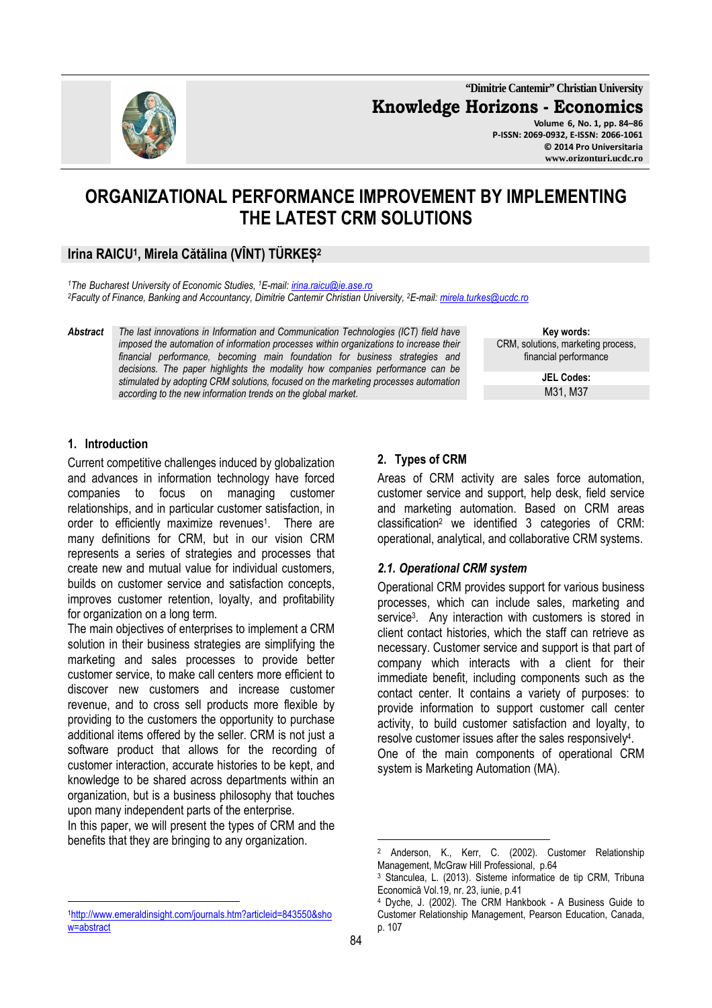**"Dimitrie Cantemir" Christian University Knowledge Horizons - Economics Volume 6, No. 1, pp. 84–86** 

**P-ISSN: 2069-0932, E-ISSN: 2066-1061 © 2014 Pro Universitaria www.orizonturi.ucdc.ro** 

# **ORGANIZATIONAL PERFORMANCE IMPROVEMENT BY IMPLEMENTING THE LATEST CRM SOLUTIONS**

### **Irina RAICU<sup>1</sup> , Mirela Cătălina (VÎNT) TÜRKEȘ<sup>2</sup>**

*<sup>1</sup>The Bucharest University of Economic Studies, <sup>1</sup>E-mail: irina.raicu@ie.ase.ro <sup>2</sup>Faculty of Finance, Banking and Accountancy, Dimitrie Cantemir Christian University, <sup>2</sup>E-mail: mirela.turkes@ucdc.ro*

*Abstract The last innovations in Information and Communication Technologies (ICT) field have imposed the automation of information processes within organizations to increase their financial performance, becoming main foundation for business strategies and decisions. The paper highlights the modality how companies performance can be stimulated by adopting CRM solutions, focused on the marketing processes automation according to the new information trends on the global market.* 

**Key words:** CRM, solutions, marketing process, financial performance

> **JEL Codes:** M31, M37

#### **1. Introduction**

Current competitive challenges induced by globalization and advances in information technology have forced companies to focus on managing customer relationships, and in particular customer satisfaction, in order to efficiently maximize revenues<sup>1</sup>. There are many definitions for CRM, but in our vision CRM represents a series of strategies and processes that create new and mutual value for individual customers, builds on customer service and satisfaction concepts, improves customer retention, loyalty, and profitability for organization on a long term.

The main objectives of enterprises to implement a CRM solution in their business strategies are simplifying the marketing and sales processes to provide better customer service, to make call centers more efficient to discover new customers and increase customer revenue, and to cross sell products more flexible by providing to the customers the opportunity to purchase additional items offered by the seller. CRM is not just a software product that allows for the recording of customer interaction, accurate histories to be kept, and knowledge to be shared across departments within an organization, but is a business philosophy that touches upon many independent parts of the enterprise.

In this paper, we will present the types of CRM and the benefits that they are bringing to any organization.

## **2. Types of CRM**

Areas of CRM activity are sales force automation, customer service and support, help desk, field service and marketing automation. Based on CRM areas classification<sup>2</sup> we identified 3 categories of CRM: operational, analytical, and collaborative CRM systems.

#### *2.1. Operational CRM system*

Operational CRM provides support for various business processes, which can include sales, marketing and service<sup>3</sup> . Any interaction with customers is stored in client contact histories, which the staff can retrieve as necessary. Customer service and support is that part of company which interacts with a client for their immediate benefit, including components such as the contact center. It contains a variety of purposes: to provide information to support customer call center activity, to build customer satisfaction and loyalty, to resolve customer issues after the sales responsively 4 . One of the main components of operational CRM system is Marketing Automation (MA).

 $\overline{a}$ 

 $\overline{a}$ <sup>1</sup>http://www.emeraldinsight.com/journals.htm?articleid=843550&sho w=abstract

<sup>2</sup> Anderson, K., Kerr, C. (2002). Customer Relationship Management, McGraw Hill Professional, p.64

<sup>3</sup> Stanculea, L. (2013). Sisteme informatice de tip CRM, Tribuna Economică Vol.19, nr. 23, iunie, p.41

<sup>4</sup> Dyche, J. (2002). The CRM Hankbook - A Business Guide to Customer Relationship Management, Pearson Education, Canada, p. 107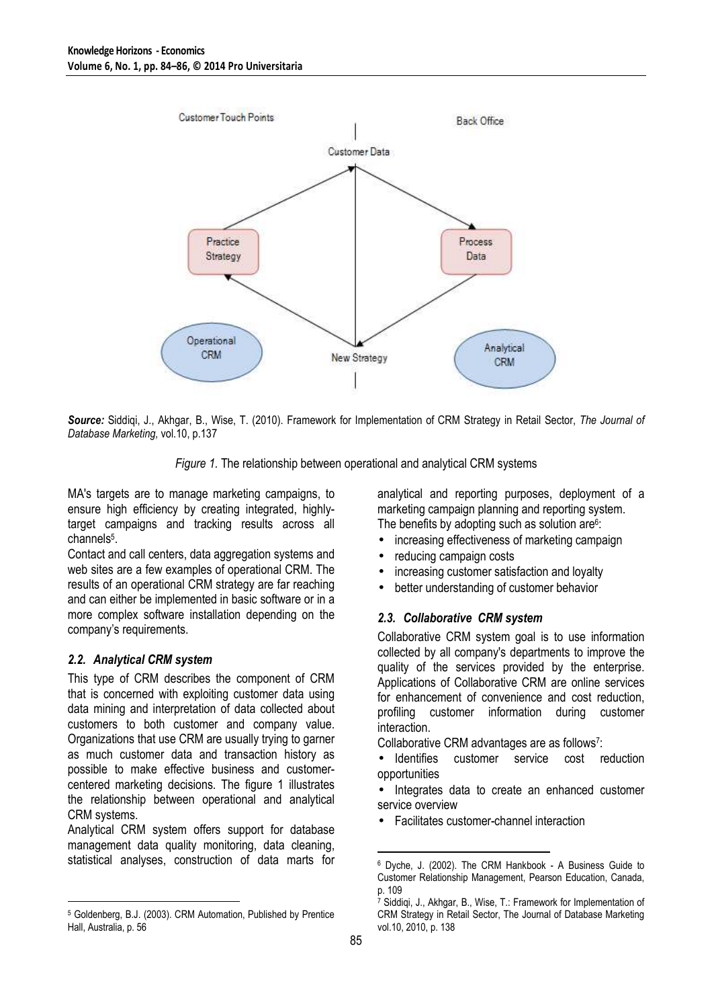

*Source:* Siddiqi, J., Akhgar, B., Wise, T. (2010). Framework for Implementation of CRM Strategy in Retail Sector, *The Journal of Database Marketing,* vol.10, p.137

*Figure 1.* The relationship between operational and analytical CRM systems

MA's targets are to manage marketing campaigns, to ensure high efficiency by creating integrated, highlytarget campaigns and tracking results across all channels<sup>5</sup>.

Contact and call centers, data aggregation systems and web sites are a few examples of operational CRM. The results of an operational CRM strategy are far reaching and can either be implemented in basic software or in a more complex software installation depending on the company's requirements.

#### *2.2. Analytical CRM system*

 $\overline{a}$ 

This type of CRM describes the component of CRM that is concerned with exploiting customer data using data mining and interpretation of data collected about customers to both customer and company value. Organizations that use CRM are usually trying to garner as much customer data and transaction history as possible to make effective business and customercentered marketing decisions. The figure 1 illustrates the relationship between operational and analytical CRM systems.

Analytical CRM system offers support for database management data quality monitoring, data cleaning, statistical analyses, construction of data marts for analytical and reporting purposes, deployment of a marketing campaign planning and reporting system. The benefits by adopting such as solution are<sup>6</sup>:

- increasing effectiveness of marketing campaign
- reducing campaign costs
- increasing customer satisfaction and loyalty
- better understanding of customer behavior

#### *2.3. Collaborative CRM system*

Collaborative CRM system goal is to use information collected by all company's departments to improve the quality of the services provided by the enterprise. Applications of Collaborative CRM are online services for enhancement of convenience and cost reduction, profiling customer information during customer interaction.

Collaborative CRM advantages are as follows<sup>7</sup> :

• Identifies customer service cost reduction opportunities

Integrates data to create an enhanced customer service overview

• Facilitates customer-channel interaction

<sup>5</sup> Goldenberg, B.J. (2003). CRM Automation, Published by Prentice Hall, Australia, p. 56

 $\overline{a}$ 6 Dyche, J. (2002). The CRM Hankbook - A Business Guide to Customer Relationship Management, Pearson Education, Canada, p. 109<br><sup>7</sup> Siddi

Siddiqi, J., Akhgar, B., Wise, T.: Framework for Implementation of CRM Strategy in Retail Sector, The Journal of Database Marketing vol.10, 2010, p. 138